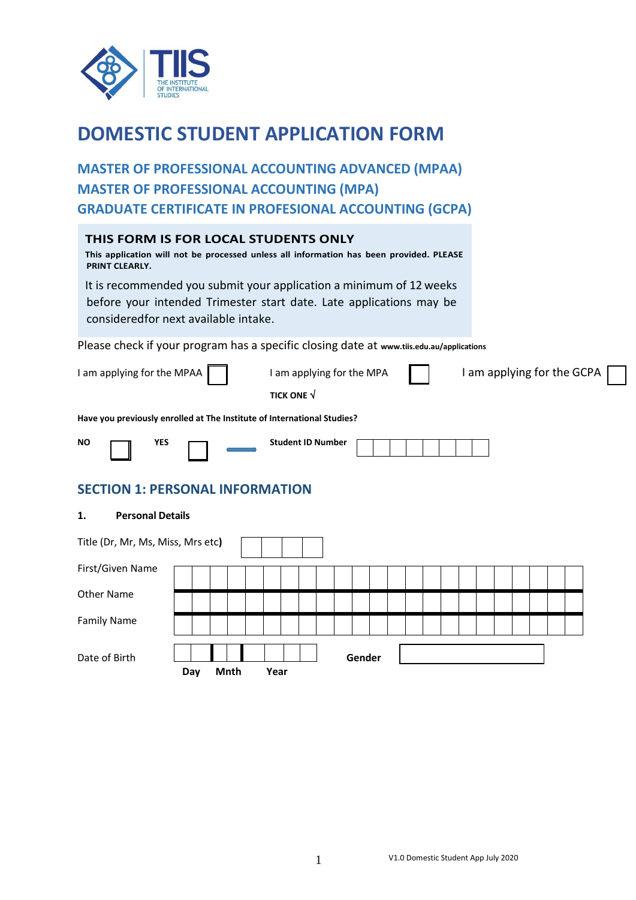

# **DOMESTIC STUDENT APPLICATION FORM**

**MASTER OF PROFESSIONAL ACCOUNTING ADVANCED (MPAA) MASTER OF PROFESSIONAL ACCOUNTING (MPA) GRADUATE CERTIFICATE IN PROFESIONAL ACCOUNTING (GCPA)**

| THIS FORM IS FOR LOCAL STUDENTS ONLY<br>This application will not be processed unless all information has been provided. PLEASE<br>PRINT CLEARLY.                                   |
|-------------------------------------------------------------------------------------------------------------------------------------------------------------------------------------|
| It is recommended you submit your application a minimum of 12 weeks<br>before your intended Trimester start date. Late applications may be<br>considered for next available intake. |
| Please check if your program has a specific closing date at www.tiis.edu.au/applications                                                                                            |
| I am applying for the GCPA<br>I am applying for the MPAA<br>I am applying for the MPA                                                                                               |

**TICK ONE** 

**Have you previously enrolled at The Institute of International Studies?**

|  |  | <b>Student ID Number</b> |
|--|--|--------------------------|
|  |  |                          |

# **SECTION 1: PERSONAL INFORMATION**

### **1. Personal Details**

| Title (Dr, Mr, Ms, Miss, Mrs etc) |     |      |  |      |  |  |        |  |  |  |  |  |  |
|-----------------------------------|-----|------|--|------|--|--|--------|--|--|--|--|--|--|
| First/Given Name                  |     |      |  |      |  |  |        |  |  |  |  |  |  |
| Other Name                        |     |      |  |      |  |  |        |  |  |  |  |  |  |
| <b>Family Name</b>                |     |      |  |      |  |  |        |  |  |  |  |  |  |
| Date of Birth                     | Day | Mnth |  | Year |  |  | Gender |  |  |  |  |  |  |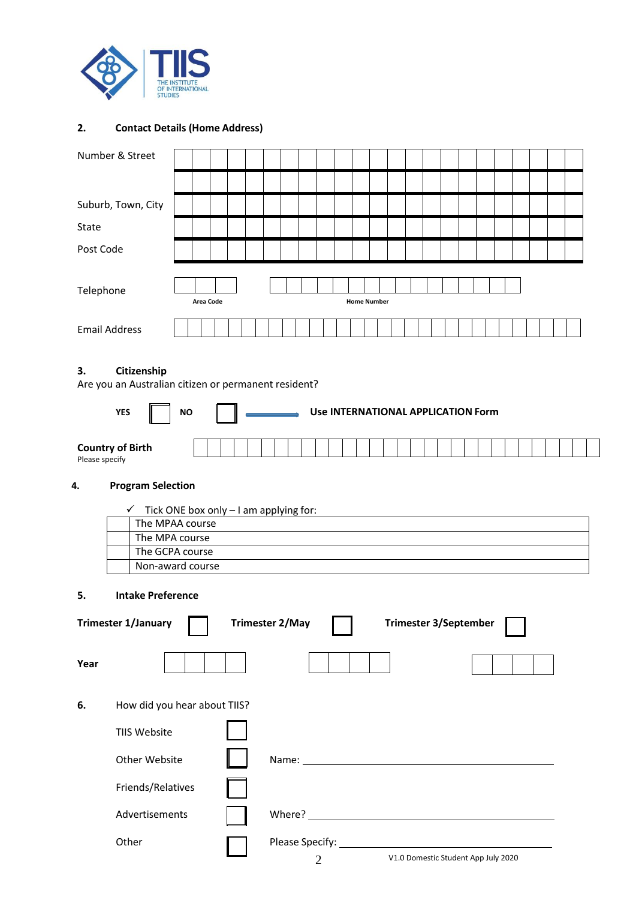

## **2. Contact Details (Home Address)**

| Number & Street      |  |           |  |  |  |                    |  |  |  |  |  |  |  |
|----------------------|--|-----------|--|--|--|--------------------|--|--|--|--|--|--|--|
|                      |  |           |  |  |  |                    |  |  |  |  |  |  |  |
| Suburb, Town, City   |  |           |  |  |  |                    |  |  |  |  |  |  |  |
| State                |  |           |  |  |  |                    |  |  |  |  |  |  |  |
| Post Code            |  |           |  |  |  |                    |  |  |  |  |  |  |  |
|                      |  |           |  |  |  |                    |  |  |  |  |  |  |  |
| Telephone            |  |           |  |  |  |                    |  |  |  |  |  |  |  |
|                      |  | Area Code |  |  |  | <b>Home Number</b> |  |  |  |  |  |  |  |
| <b>Email Address</b> |  |           |  |  |  |                    |  |  |  |  |  |  |  |

## **3. Citizenship**

Are you an Australian citizen or permanent resident?

| <b>YES</b><br><b>NO</b>                   |  |  |  |  | Use INTERNATIONAL APPLICATION Form |  |  |  |  |  |  |  |  |  |  |
|-------------------------------------------|--|--|--|--|------------------------------------|--|--|--|--|--|--|--|--|--|--|
| <b>Country of Birth</b><br>Please specify |  |  |  |  |                                    |  |  |  |  |  |  |  |  |  |  |

# **4. Program Selection**

| $\checkmark$ Tick ONE box only – I am applying for: |
|-----------------------------------------------------|
| The MPAA course                                     |
| The MPA course                                      |
| The GCPA course                                     |
| Non-award course                                    |

### **5. Intake Preference**

|      | <b>Trimester 1/January</b>   | <b>Trimester 2/May</b> | <b>Trimester 3/September</b>                         |  |
|------|------------------------------|------------------------|------------------------------------------------------|--|
| Year |                              |                        |                                                      |  |
| 6.   | How did you hear about TIIS? |                        |                                                      |  |
|      | <b>TIIS Website</b>          |                        |                                                      |  |
|      | Other Website                |                        | Name: Name:                                          |  |
|      | Friends/Relatives            |                        |                                                      |  |
|      | Advertisements               | Where?                 | <u> 1989 - Johann Stein, Amerikaansk politiker (</u> |  |
|      | Other                        | 2                      | V1.0 Domestic Student App July 2020                  |  |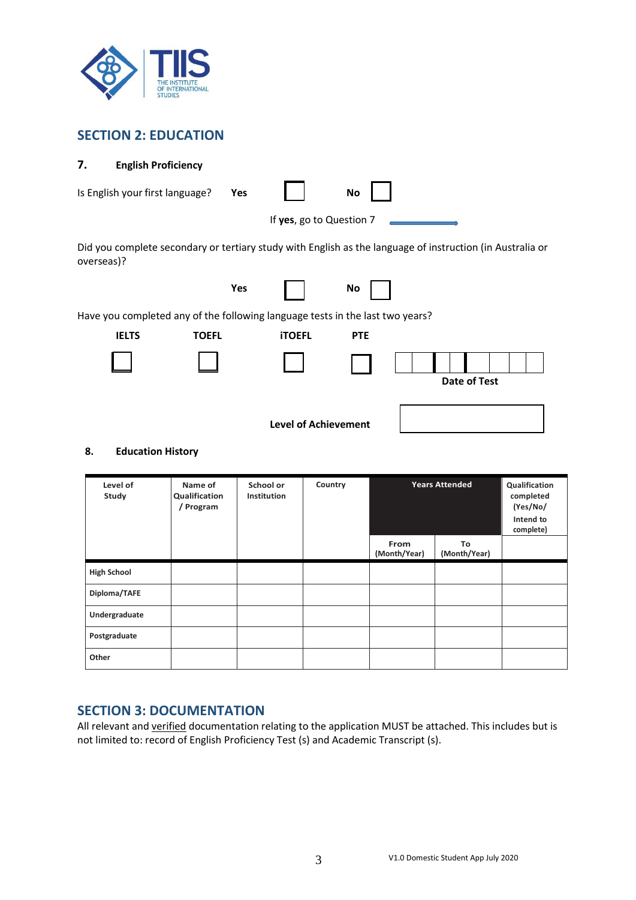

# **SECTION 2: EDUCATION**

## **7. English Proficiency**

| If yes, go to Question 7                                                                                                |  |
|-------------------------------------------------------------------------------------------------------------------------|--|
|                                                                                                                         |  |
| Did you complete secondary or tertiary study with English as the language of instruction (in Australia or<br>overseas)? |  |
| Yes<br>No                                                                                                               |  |
| Have you completed any of the following language tests in the last two years?                                           |  |
| <b>IELTS</b><br><b>TOEFL</b><br><b>iTOEFL</b><br><b>PTE</b>                                                             |  |
| Date of Test                                                                                                            |  |
| <b>Level of Achievement</b>                                                                                             |  |

## **8. Education History**

| Level of<br>Study  | Name of<br>Qualification<br>/ Program | School or<br>Institution | Country | <b>Years Attended</b> | Qualification<br>completed<br>(Yes/No/<br>Intend to<br>complete) |  |
|--------------------|---------------------------------------|--------------------------|---------|-----------------------|------------------------------------------------------------------|--|
|                    |                                       |                          |         | From<br>(Month/Year)  | To<br>(Month/Year)                                               |  |
| <b>High School</b> |                                       |                          |         |                       |                                                                  |  |
| Diploma/TAFE       |                                       |                          |         |                       |                                                                  |  |
| Undergraduate      |                                       |                          |         |                       |                                                                  |  |
| Postgraduate       |                                       |                          |         |                       |                                                                  |  |
| Other              |                                       |                          |         |                       |                                                                  |  |

## **SECTION 3: DOCUMENTATION**

All relevant and verified documentation relating to the application MUST be attached. This includes but is not limited to: record of English Proficiency Test (s) and Academic Transcript (s).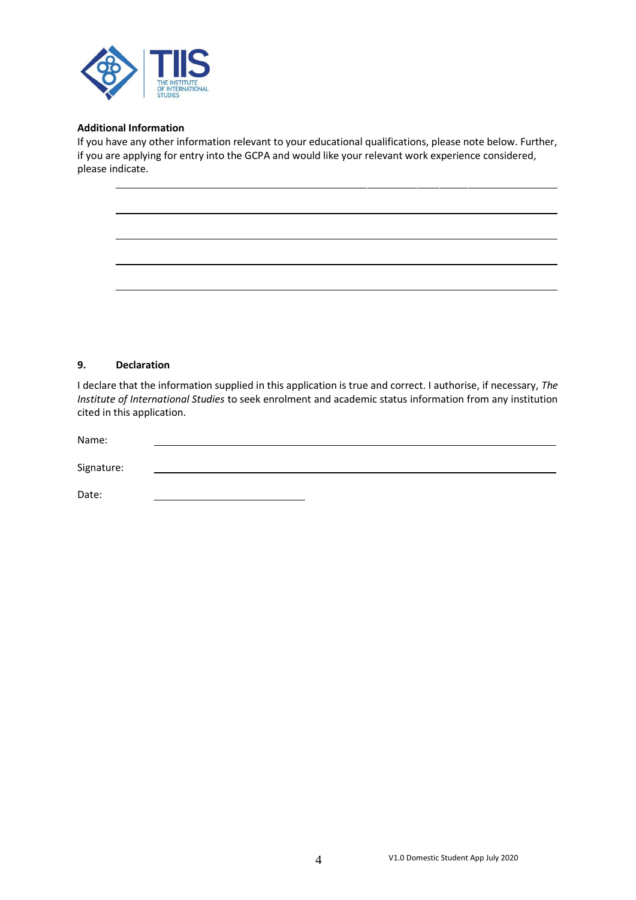

#### **Additional Information**

If you have any other information relevant to your educational qualifications, please note below. Further, if you are applying for entry into the GCPA and would like your relevant work experience considered, please indicate.

#### **9. Declaration**

I declare that the information supplied in this application is true and correct. I authorise, if necessary, *The Institute of International Studies* to seek enrolment and academic status information from any institution cited in this application.

| Name:      |  |  |  |
|------------|--|--|--|
|            |  |  |  |
| Signature: |  |  |  |
|            |  |  |  |
| Date:      |  |  |  |